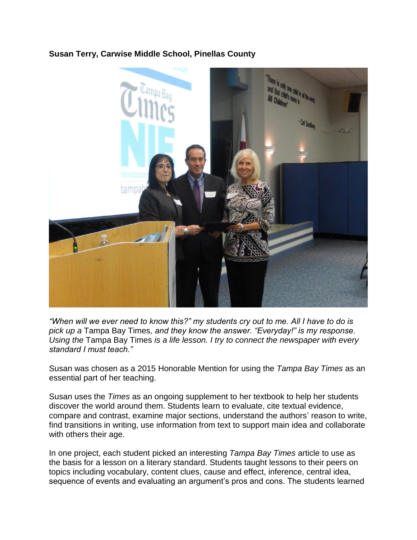## **Susan Terry, Carwise Middle School, Pinellas County**



*"When will we ever need to know this?" my students cry out to me. All I have to do is pick up a* Tampa Bay Times*, and they know the answer. "Everyday!" is my response. Using the* Tampa Bay Times *is a life lesson. I try to connect the newspaper with every standard I must teach."*

Susan was chosen as a 2015 Honorable Mention for using the *Tampa Bay Times* as an essential part of her teaching.

Susan uses the *Times* as an ongoing supplement to her textbook to help her students discover the world around them. Students learn to evaluate, cite textual evidence, compare and contrast, examine major sections, understand the authors' reason to write, find transitions in writing, use information from text to support main idea and collaborate with others their age.

In one project, each student picked an interesting *Tampa Bay Times* article to use as the basis for a lesson on a literary standard. Students taught lessons to their peers on topics including vocabulary, content clues, cause and effect, inference, central idea, sequence of events and evaluating an argument's pros and cons. The students learned